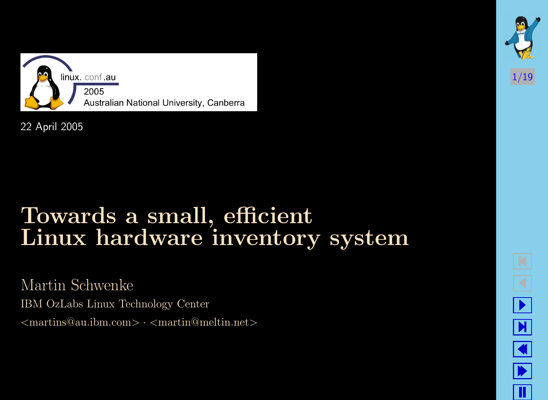

22 April 2005

### Towards a small, efficient Linux hardware inventory system

Martin Schwenke IBM OzLabs Linux Technology Center  $\langle$  martins@au.ibm.com>  $\cdot$   $\langle$  martin@meltin.net>



- $\boxed{\blacktriangleright}$  $\blacklozenge$  $\blacktriangleright$ T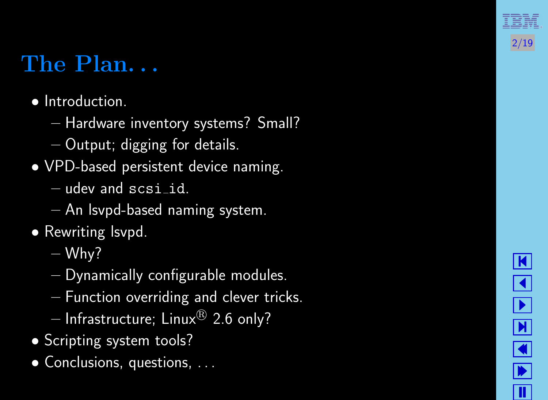## The Plan. . .

- Introduction.
	- Hardware inventory systems? Small?
	- Output; digging for details.
- VPD-based persistent device naming.
	- $-$  udev and  $scsi_id$ .
	- An lsvpd-based naming system.
- Rewriting Isvpd.
	- $-$  Why?
	- Dynamically configurable modules.
	- Function overriding and clever tricks.
	- $-$  Infrastructure; Linux $^{\circledR}$  2.6 only?
- Scripting system tools?
- Conclusions, questions, ...



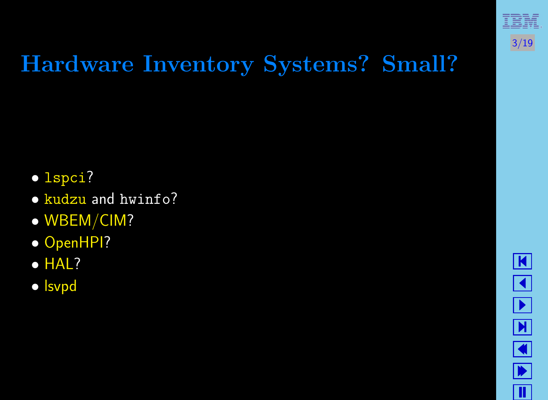

# Hardware Inventory Systems? Small?

- [lspci](http://atrey.karlin.mff.cuni.cz/~mj/pciutils.shtml)?
- [kudzu](http://rhlinux.redhat.com/kudzu/) and hwinfo?
- [WBEM/CIM?](http://openpegasus.org/)
- [OpenHPI?](http://openhpi.sourceforge.net/)
- [HAL?](http://hal.freedesktop.org/)
- [lsvpd](http://linux-diag.sourceforge.net/Lsvpd.html)

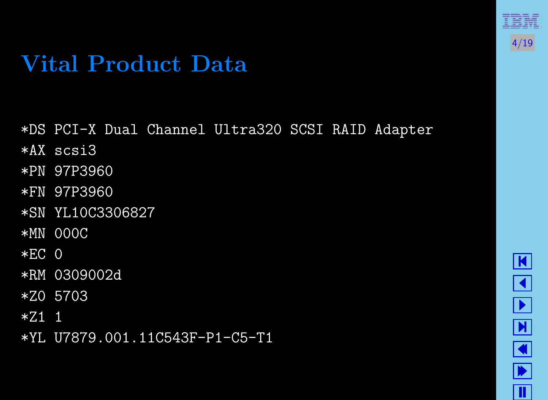### Vital Product Data

- \*DS PCI-X Dual Channel Ultra320 SCSI RAID Adapter
- \*AX scsi3
- \*PN 97P3960
- \*FN 97P3960
- \*SN YL10C3306827
- \*MN 000C
- $*EC$  0
- \*RM 0309002d
- \*Z0 5703
- \*Z1 1
- \*YL U7879.001.11C543F-P1-C5-T1

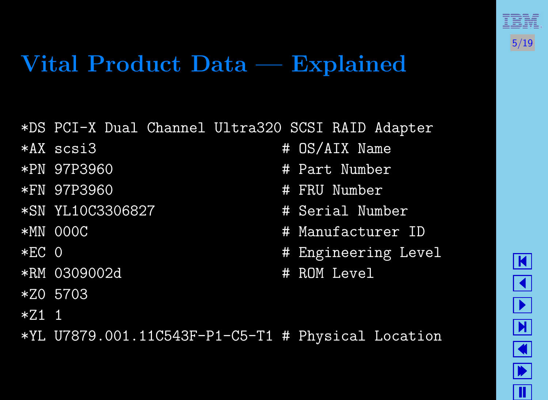

### Vital Product Data — Explained

\*DS PCI-X Dual Channel Ultra320 SCSI RAID Adapter

- 
- 
- 
- \*SN YL10C3306827 # Serial Number
- 
- 
- \*RM 0309002d # ROM Level
- \*Z0 5703
- $*7.1$  1
- \*YL U7879.001.11C543F-P1-C5-T1 # Physical Location
- \*AX scsi3 # OS/AIX Name
- \*PN 97P3960 # Part Number
- \*FN 97P3960 # FRU Number
	-
- \*MN 000C # Manufacturer ID
- \*EC 0 # Engineering Level
	-

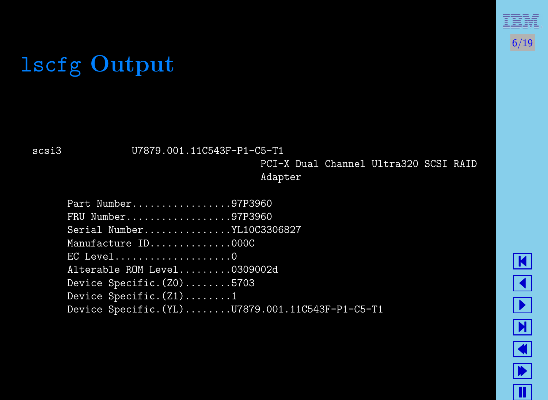# lscfg Output

scsi3 U7879.001.11C543F-P1-C5-T1

PCI-X Dual Channel Ultra320 SCSI RAID Adapter

| Part Number97P3960                              |
|-------------------------------------------------|
| $FRU$ Number97P3960                             |
| Serial NumberYL10C3306827                       |
| Manufacture ID000C                              |
| EC Level0                                       |
| Alterable ROM Level0309002d                     |
| Device Specific. $(20)$ 5703                    |
| Device Specific. $(Z1)$ 1                       |
| Device Specific. (YL)U7879.001.11C543F-P1-C5-T1 |

 $\boxed{\mathbf{K}}$  $\blacktriangleleft$ - Й  $\Box$  $\blacksquare$ Ш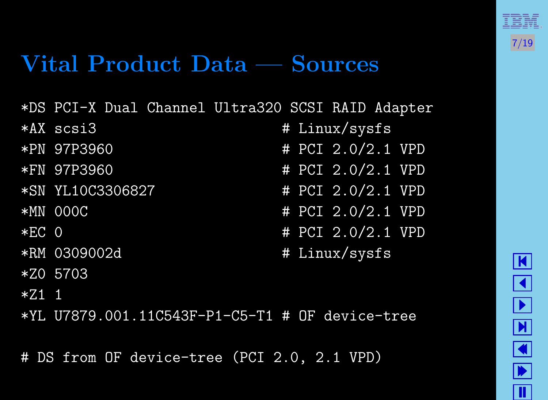

### Vital Product Data — Sources

- \*DS PCI-X Dual Channel Ultra320 SCSI RAID Adapter
- 
- 
- 
- 
- 
- 
- 
- \*Z0 5703
- $*Z1$  1

\*YL U7879.001.11C543F-P1-C5-T1 # OF device-tree

# DS from OF device-tree (PCI 2.0, 2.1 VPD)

- \*AX scsi3 # Linux/sysfs \*PN 97P3960 # PCI 2.0/2.1 VPD \*FN 97P3960 # PCI 2.0/2.1 VPD \*SN YL10C3306827 # PCI 2.0/2.1 VPD \*MN 000C # PCI 2.0/2.1 VPD \*EC 0 # PCI 2.0/2.1 VPD
- \*RM 0309002d # Linux/sysfs

$$
\boxed{\blacktriangle} \boxed{\blacktriangle} \boxed{\blacktriangle} \boxed{\blacktriangle} \boxed{\blacktriangle} \boxed{\blacktriangle}
$$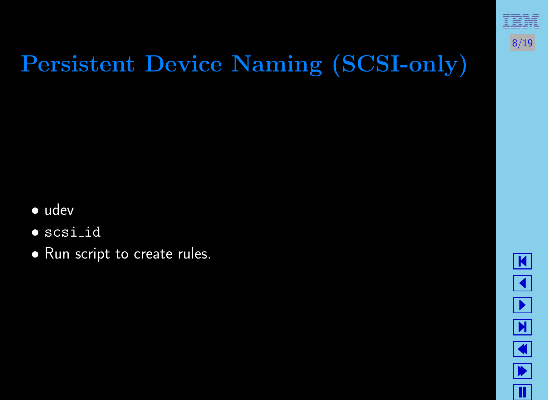

# Persistent Device Naming (SCSI-only)

- udev
- scsi id
- Run script to create rules.

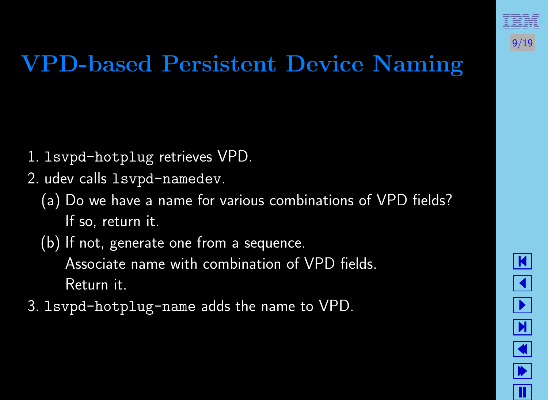

# VPD-based Persistent Device Naming

- 1. lsvpd-hotplug retrieves VPD.
- 2. udev calls lsvpd-namedev.
	- (a) Do we have a name for various combinations of VPD fields? If so, return it.
	- (b) If not, generate one from a sequence. Associate name with combination of VPD fields. Return it.
- 3. lsvpd-hotplug-name adds the name to VPD.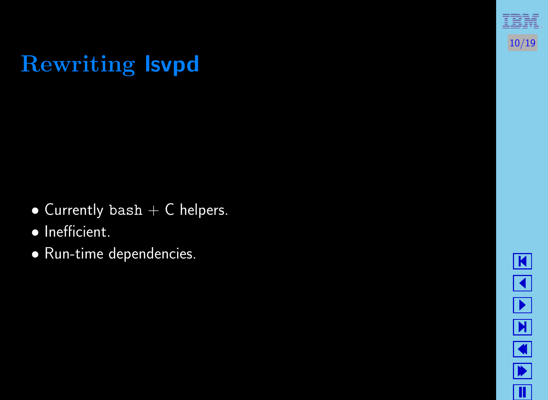# Rewriting lsvpd

- Currently bash  $+$  C helpers.
- Inefficient.
- Run-time dependencies.



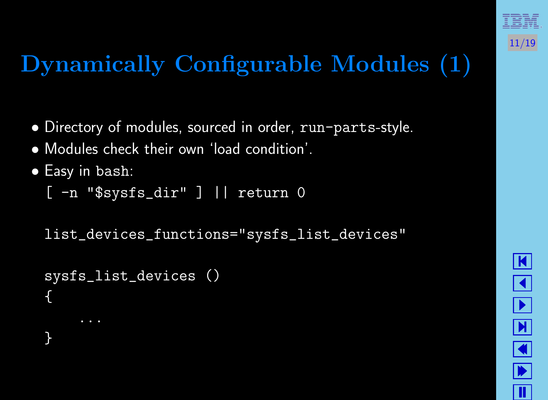

# Dynamically Configurable Modules (1)

- Directory of modules, sourced in order, run-parts-style.
- Modules check their own 'load condition'.
- Easy in bash:
	- [ -n "\$sysfs\_dir" ] || return 0

list\_devices\_functions="sysfs\_list\_devices"

```
sysfs_list_devices ()
{
}
```
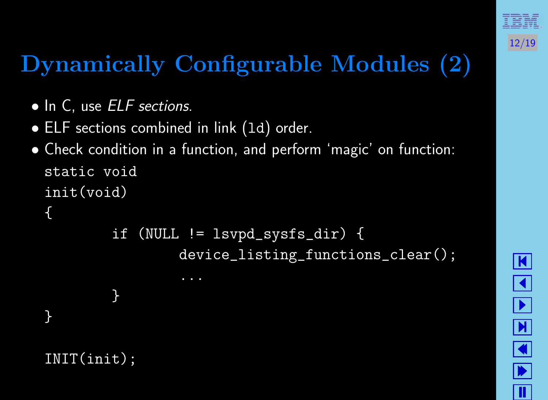

# Dynamically Configurable Modules (2)

- In C, use *ELF sections*.
- ELF sections combined in link (1d) order.
- Check condition in a function, and perform 'magic' on function: static void init(void)

```
{
```
}

```
if (NULL != lsvpd_sysfs_dir) {
        device_listing_functions_clear();
```
INIT(init);

}

```
\vert \mathbf{K} \vert\blacktriangleleft-

\boxed{\blacksquare}\blacklozenge\blacktrianglerightT
```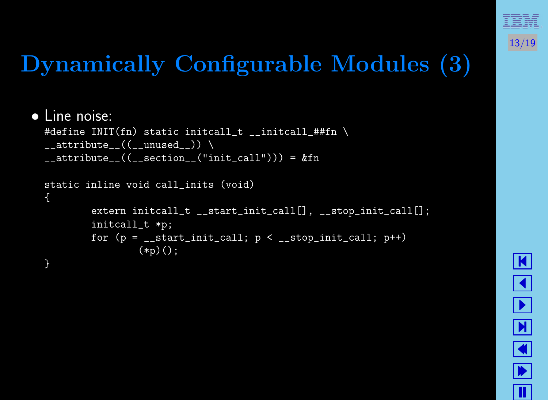

# Dynamically Configurable Modules (3)

### • Line noise:

```
#define INIT(fn) static initcall_t __initcall_##fn \setminus_ __attribute__((__unused_)) \setminus__attribute__((__section__("init_call"))) = &fn
```
#### static inline void call\_inits (void) { extern initcall\_t \_\_start\_init\_call[], \_\_stop\_init\_call[]; initcall\_t \*p; for  $(p = -start\_init\_call; p < -_stop\_init\_call; p++)$  $(*p)($ ; }

<u>|K</u>  $\blacktriangleleft$ - Й  $\Box$  $\blacktriangleright$ T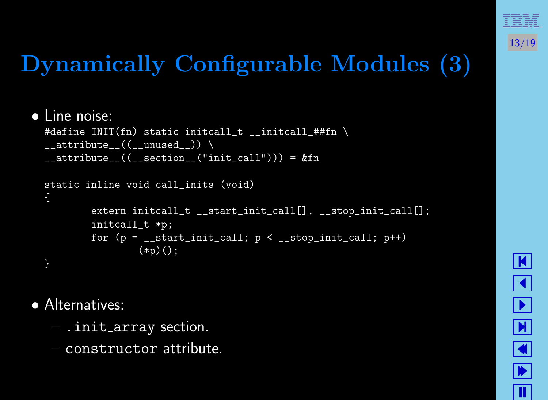

# Dynamically Configurable Modules (3)

### • Line noise:

```
#define INIT(fn) static initcall_t __initcall_##fn \setminus_ __attribute__((__unused_)) \setminus__attribute__((__section__("init_call"))) = &fn
```
#### static inline void call\_inits (void) { extern initcall\_t \_\_start\_init\_call[], \_\_stop\_init\_call[]; initcall\_t \*p; for  $(p = -start\_init\_call; p < -_stop\_init\_call; p++)$  $(*p)($ ; }

<u>|K</u>  $\blacktriangleleft$ - Й  $\Box$  $\blacktriangleright$ T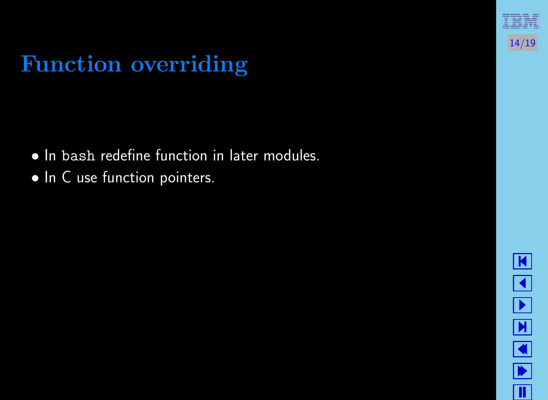## Function overriding

- In bash redefine function in later modules.
- In C use function pointers.

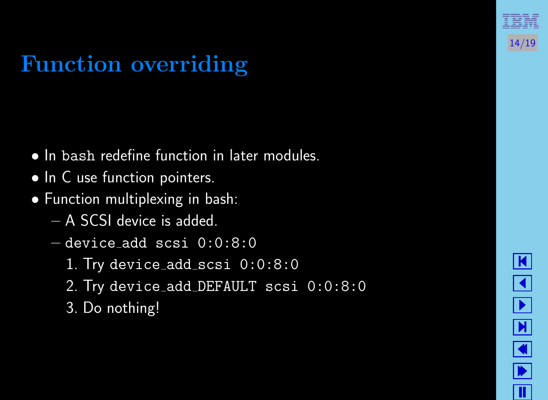## Function overriding

- In bash redefine function in later modules.
- In C use function pointers.

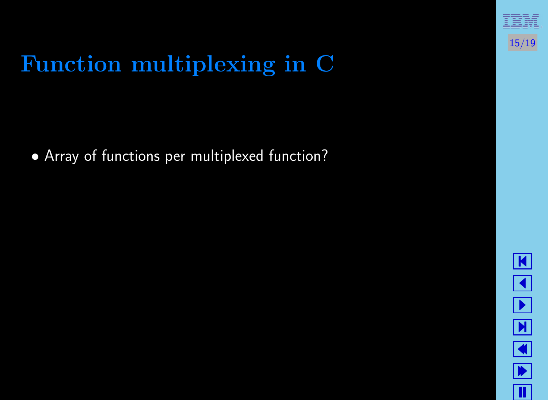• Array of functions per multiplexed function?



15/19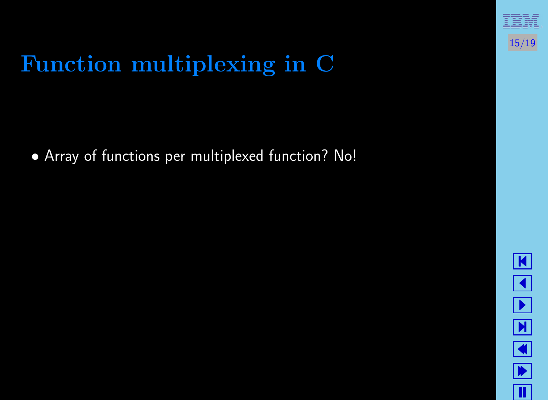• Array of functions per multiplexed function?



15/19

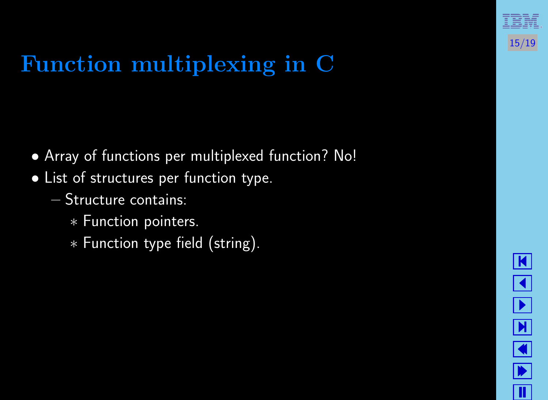• Array of functions per multiplexed function?



15/19

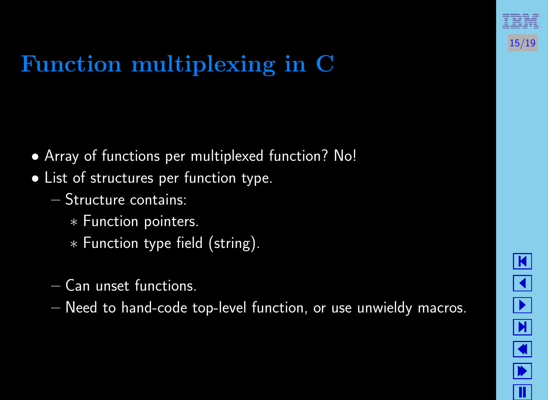• Array of functions per multiplexed function?



15/19

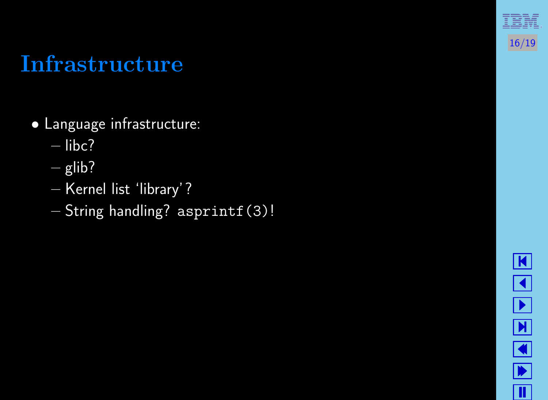### Infrastructure

- Language infrastructure:
	- libc?
	- $-\overline{g}$ lib?
	- Kernel list 'library'?
	- String handling? asprintf(3)!

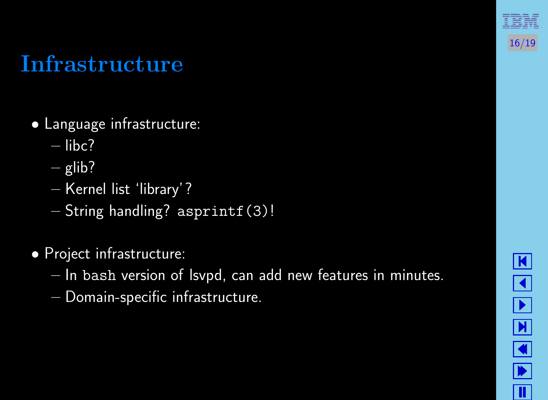### Infrastructure

- Language infrastructure:
	- libc?
	- $-\overline{g}$ lib?
	- Kernel list 'library'?
	- String handling? asprintf(3)!

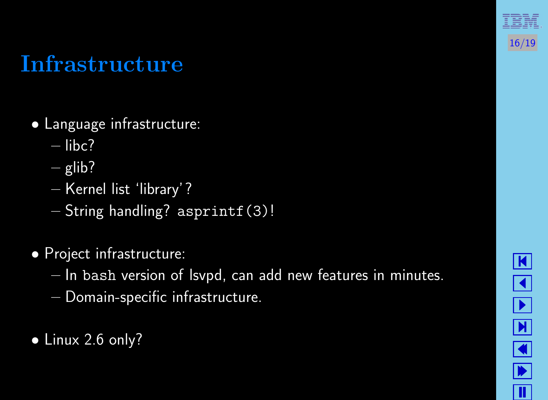### Infrastructure

- Language infrastructure:
	- libc?
	- $-\overline{g}$ lib?
	- Kernel list 'library'?
	- String handling? asprintf(3)!

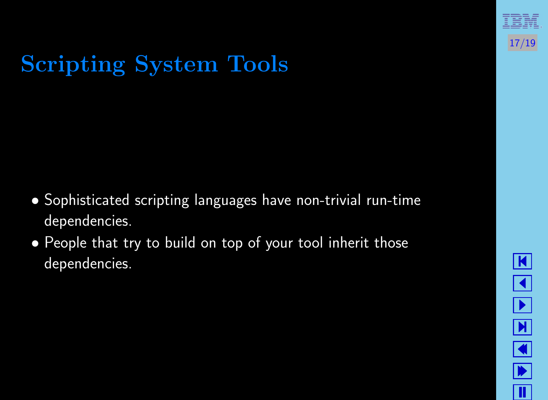

# Scripting System Tools

- Sophisticated scripting languages have non-trivial run-time dependencies.
- People that try to build on top of your tool inherit those dependencies.

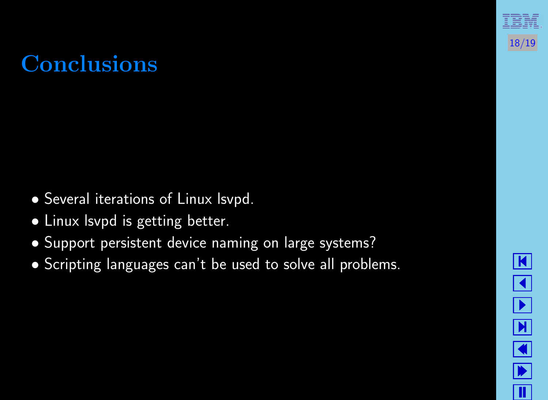## **Conclusions**

- Several iterations of Linux lsvpd.
- Linux lsvpd is getting better.
- Support persistent device naming on large systems?
- Scripting languages can't be used to solve all problems.